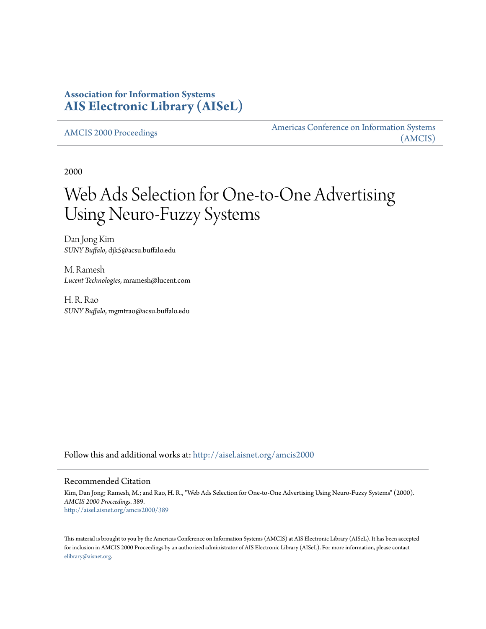## **Association for Information Systems [AIS Electronic Library \(AISeL\)](http://aisel.aisnet.org?utm_source=aisel.aisnet.org%2Famcis2000%2F389&utm_medium=PDF&utm_campaign=PDFCoverPages)**

[AMCIS 2000 Proceedings](http://aisel.aisnet.org/amcis2000?utm_source=aisel.aisnet.org%2Famcis2000%2F389&utm_medium=PDF&utm_campaign=PDFCoverPages)

[Americas Conference on Information Systems](http://aisel.aisnet.org/amcis?utm_source=aisel.aisnet.org%2Famcis2000%2F389&utm_medium=PDF&utm_campaign=PDFCoverPages) [\(AMCIS\)](http://aisel.aisnet.org/amcis?utm_source=aisel.aisnet.org%2Famcis2000%2F389&utm_medium=PDF&utm_campaign=PDFCoverPages)

2000

# Web Ads Selection for One-to-One Advertising Using Neuro-Fuzzy Systems

Dan Jong Kim *SUNY Buffalo*, djk5@acsu.buffalo.edu

M. Ramesh *Lucent Technologies*, mramesh@lucent.com

H. R. Rao *SUNY Buffalo*, mgmtrao@acsu.buffalo.edu

Follow this and additional works at: [http://aisel.aisnet.org/amcis2000](http://aisel.aisnet.org/amcis2000?utm_source=aisel.aisnet.org%2Famcis2000%2F389&utm_medium=PDF&utm_campaign=PDFCoverPages)

#### Recommended Citation

Kim, Dan Jong; Ramesh, M.; and Rao, H. R., "Web Ads Selection for One-to-One Advertising Using Neuro-Fuzzy Systems" (2000). *AMCIS 2000 Proceedings*. 389. [http://aisel.aisnet.org/amcis2000/389](http://aisel.aisnet.org/amcis2000/389?utm_source=aisel.aisnet.org%2Famcis2000%2F389&utm_medium=PDF&utm_campaign=PDFCoverPages)

This material is brought to you by the Americas Conference on Information Systems (AMCIS) at AIS Electronic Library (AISeL). It has been accepted for inclusion in AMCIS 2000 Proceedings by an authorized administrator of AIS Electronic Library (AISeL). For more information, please contact [elibrary@aisnet.org.](mailto:elibrary@aisnet.org%3E)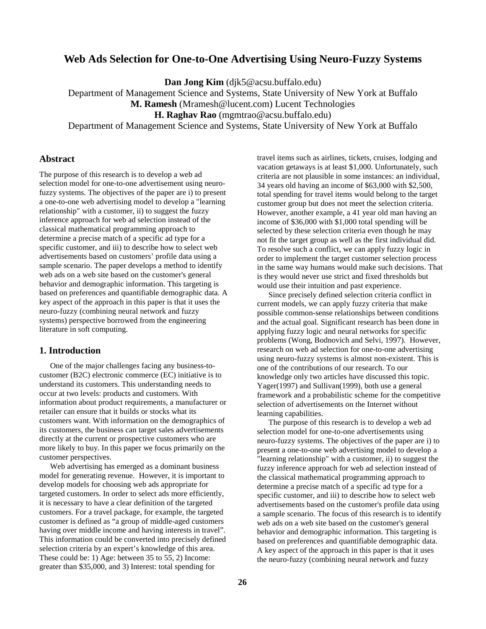## **Web Ads Selection for One-to-One Advertising Using Neuro-Fuzzy Systems**

**Dan Jong Kim** (djk5@acsu.buffalo.edu)

Department of Management Science and Systems, State University of New York at Buffalo

**M. Ramesh** (Mramesh@lucent.com) Lucent Technologies

**H. Raghav Rao** (mgmtrao@acsu.buffalo.edu)

Department of Management Science and Systems, State University of New York at Buffalo

#### **Abstract**

The purpose of this research is to develop a web ad selection model for one-to-one advertisement using neurofuzzy systems. The objectives of the paper are i) to present a one-to-one web advertising model to develop a "learning relationship" with a customer, ii) to suggest the fuzzy inference approach for web ad selection instead of the classical mathematical programming approach to determine a precise match of a specific ad type for a specific customer, and iii) to describe how to select web advertisements based on customers' profile data using a sample scenario. The paper develops a method to identify web ads on a web site based on the customer's general behavior and demographic information. This targeting is based on preferences and quantifiable demographic data. A key aspect of the approach in this paper is that it uses the neuro-fuzzy (combining neural network and fuzzy systems) perspective borrowed from the engineering literature in soft computing.

#### **1. Introduction**

One of the major challenges facing any business-tocustomer (B2C) electronic commerce (EC) initiative is to understand its customers. This understanding needs to occur at two levels: products and customers. With information about product requirements, a manufacturer or retailer can ensure that it builds or stocks what its customers want. With information on the demographics of its customers, the business can target sales advertisements directly at the current or prospective customers who are more likely to buy. In this paper we focus primarily on the customer perspectives.

Web advertising has emerged as a dominant business model for generating revenue. However, it is important to develop models for choosing web ads appropriate for targeted customers. In order to select ads more efficiently, it is necessary to have a clear definition of the targeted customers. For a travel package, for example, the targeted customer is defined as "a group of middle-aged customers having over middle income and having interests in travel". This information could be converted into precisely defined selection criteria by an expert's knowledge of this area. These could be: 1) Age: between 35 to 55, 2) Income: greater than \$35,000, and 3) Interest: total spending for

travel items such as airlines, tickets, cruises, lodging and vacation getaways is at least \$1,000. Unfortunately, such criteria are not plausible in some instances: an individual, 34 years old having an income of \$63,000 with \$2,500, total spending for travel items would belong to the target customer group but does not meet the selection criteria. However, another example, a 41 year old man having an income of \$36,000 with \$1,000 total spending will be selected by these selection criteria even though he may not fit the target group as well as the first individual did. To resolve such a conflict, we can apply fuzzy logic in order to implement the target customer selection process in the same way humans would make such decisions. That is they would never use strict and fixed thresholds but would use their intuition and past experience.

Since precisely defined selection criteria conflict in current models, we can apply fuzzy criteria that make possible common-sense relationships between conditions and the actual goal. Significant research has been done in applying fuzzy logic and neural networks for specific problems (Wong, Bodnovich and Selvi, 1997). However, research on web ad selection for one-to-one advertising using neuro-fuzzy systems is almost non-existent. This is one of the contributions of our research. To our knowledge only two articles have discussed this topic. Yager(1997) and Sullivan(1999), both use a general framework and a probabilistic scheme for the competitive selection of advertisements on the Internet without learning capabilities.

The purpose of this research is to develop a web ad selection model for one-to-one advertisements using neuro-fuzzy systems. The objectives of the paper are i) to present a one-to-one web advertising model to develop a "learning relationship" with a customer, ii) to suggest the fuzzy inference approach for web ad selection instead of the classical mathematical programming approach to determine a precise match of a specific ad type for a specific customer, and iii) to describe how to select web advertisements based on the customer's profile data using a sample scenario. The focus of this research is to identify web ads on a web site based on the customer's general behavior and demographic information. This targeting is based on preferences and quantifiable demographic data. A key aspect of the approach in this paper is that it uses the neuro-fuzzy (combining neural network and fuzzy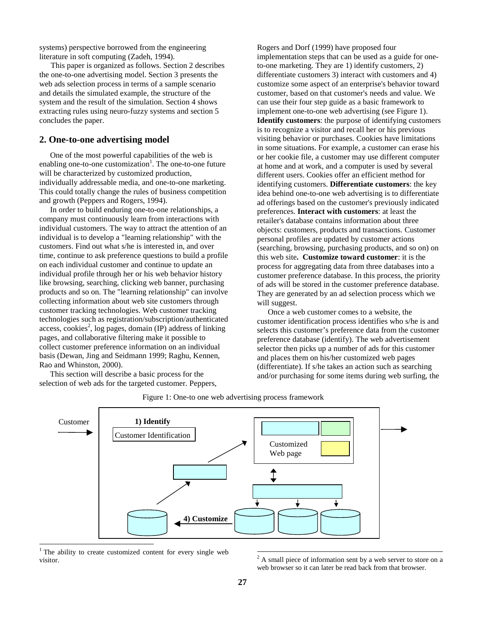systems) perspective borrowed from the engineering literature in soft computing (Zadeh, 1994).

This paper is organized as follows. Section 2 describes the one-to-one advertising model. Section 3 presents the web ads selection process in terms of a sample scenario and details the simulated example, the structure of the system and the result of the simulation. Section 4 shows extracting rules using neuro-fuzzy systems and section 5 concludes the paper.

#### **2. One-to-one advertising model**

One of the most powerful capabilities of the web is enabling one-to-one customization<sup>1</sup>. The one-to-one future will be characterized by customized production, individually addressable media, and one-to-one marketing. This could totally change the rules of business competition and growth (Peppers and Rogers, 1994).

In order to build enduring one-to-one relationships, a company must continuously learn from interactions with individual customers. The way to attract the attention of an individual is to develop a "learning relationship" with the customers. Find out what s/he is interested in, and over time, continue to ask preference questions to build a profile on each individual customer and continue to update an individual profile through her or his web behavior history like browsing, searching, clicking web banner, purchasing products and so on. The "learning relationship" can involve collecting information about web site customers through customer tracking technologies. Web customer tracking technologies such as registration/subscription/authenticated access, cookies<sup>2</sup>, log pages, domain (IP) address of linking pages, and collaborative filtering make it possible to collect customer preference information on an individual basis (Dewan, Jing and Seidmann 1999; Raghu, Kennen, Rao and Whinston, 2000).

This section will describe a basic process for the selection of web ads for the targeted customer. Peppers,

Rogers and Dorf (1999) have proposed four implementation steps that can be used as a guide for oneto-one marketing. They are 1) identify customers, 2) differentiate customers 3) interact with customers and 4) customize some aspect of an enterprise's behavior toward customer, based on that customer's needs and value. We can use their four step guide as a basic framework to implement one-to-one web advertising (see Figure 1).

**Identify customers**: the purpose of identifying customers is to recognize a visitor and recall her or his previous visiting behavior or purchases. Cookies have limitations in some situations. For example, a customer can erase his or her cookie file, a customer may use different computer at home and at work, and a computer is used by several different users. Cookies offer an efficient method for identifying customers. **Differentiate customers**: the key idea behind one-to-one web advertising is to differentiate ad offerings based on the customer's previously indicated preferences. **Interact with customers**: at least the retailer's database contains information about three objects: customers, products and transactions. Customer personal profiles are updated by customer actions (searching, browsing, purchasing products, and so on) on this web site**. Customize toward customer**: it is the process for aggregating data from three databases into a customer preference database. In this process, the priority of ads will be stored in the customer preference database. They are generated by an ad selection process which we will suggest.

Once a web customer comes to a website, the customer identification process identifies who s/he is and selects this customer's preference data from the customer preference database (identify). The web advertisement selector then picks up a number of ads for this customer and places them on his/her customized web pages (differentiate). If s/he takes an action such as searching and/or purchasing for some items during web surfing, the



Figure 1: One-to one web advertising process framework

 $\overline{a}$ 

-

<sup>&</sup>lt;sup>1</sup> The ability to create customized content for every single web visitor.

 $2^2$  A small piece of information sent by a web server to store on a web browser so it can later be read back from that browser.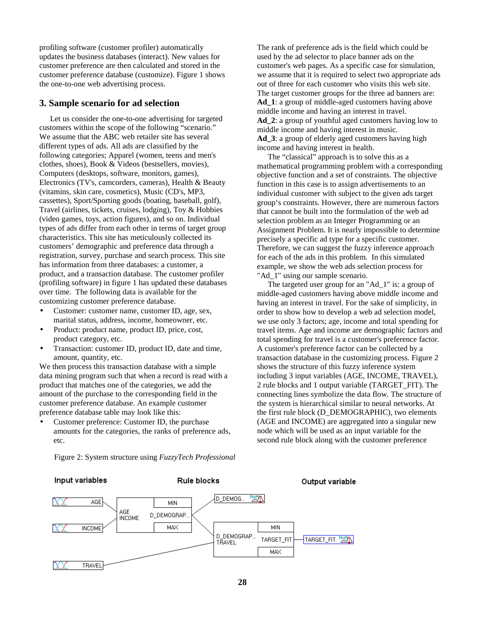profiling software (customer profiler) automatically updates the business databases (interact). New values for customer preference are then calculated and stored in the customer preference database (customize). Figure 1 shows the one-to-one web advertising process.

#### **3. Sample scenario for ad selection**

Let us consider the one-to-one advertising for targeted customers within the scope of the following "scenario." We assume that the ABC web retailer site has several different types of ads. All ads are classified by the following categories; Apparel (women, teens and men's clothes, shoes), Book & Videos (bestsellers, movies), Computers (desktops, software, monitors, games), Electronics (TV's, camcorders, cameras), Health & Beauty (vitamins, skin care, cosmetics), Music (CD's, MP3, cassettes), Sport/Sporting goods (boating, baseball, golf), Travel (airlines, tickets, cruises, lodging), Toy & Hobbies (video games, toys, action figures), and so on. Individual types of ads differ from each other in terms of target group characteristics. This site has meticulously collected its customers' demographic and preference data through a registration, survey, purchase and search process. This site has information from three databases: a customer, a product, and a transaction database. The customer profiler (profiling software) in figure 1 has updated these databases over time. The following data is available for the customizing customer preference database.

- Customer: customer name, customer ID, age, sex, marital status, address, income, homeowner, etc.
- Product: product name, product ID, price, cost, product category, etc.
- Transaction: customer ID, product ID, date and time, amount, quantity, etc.

We then process this transaction database with a simple data mining program such that when a record is read with a product that matches one of the categories, we add the amount of the purchase to the corresponding field in the customer preference database. An example customer preference database table may look like this:

• Customer preference: Customer ID, the purchase amounts for the categories, the ranks of preference ads, etc.

Figure 2: System structure using *FuzzyTech Professional* 

The rank of preference ads is the field which could be used by the ad selector to place banner ads on the customer's web pages. As a specific case for simulation, we assume that it is required to select two appropriate ads out of three for each customer who visits this web site. The target customer groups for the three ad banners are: Ad 1: a group of middle-aged customers having above middle income and having an interest in travel. Ad 2: a group of youthful aged customers having low to middle income and having interest in music. Ad 3: a group of elderly aged customers having high income and having interest in health.

The "classical" approach is to solve this as a mathematical programming problem with a corresponding objective function and a set of constraints. The objective function in this case is to assign advertisements to an individual customer with subject to the given ads target group's constraints. However, there are numerous factors that cannot be built into the formulation of the web ad selection problem as an Integer Programming or an Assignment Problem. It is nearly impossible to determine precisely a specific ad type for a specific customer. Therefore, we can suggest the fuzzy inference approach for each of the ads in this problem. In this simulated example, we show the web ads selection process for "Ad\_1" using our sample scenario.

The targeted user group for an "Ad\_1" is: a group of middle-aged customers having above middle income and having an interest in travel. For the sake of simplicity, in order to show how to develop a web ad selection model, we use only 3 factors; age, income and total spending for travel items. Age and income are demographic factors and total spending for travel is a customer's preference factor. A customer's preference factor can be collected by a transaction database in the customizing process. Figure 2 shows the structure of this fuzzy inference system including 3 input variables (AGE, INCOME, TRAVEL), 2 rule blocks and 1 output variable (TARGET\_FIT). The connecting lines symbolize the data flow. The structure of the system is hierarchical similar to neural networks. At the first rule block (D\_DEMOGRAPHIC), two elements (AGE and INCOME) are aggregated into a singular new node which will be used as an input variable for the second rule block along with the customer preference

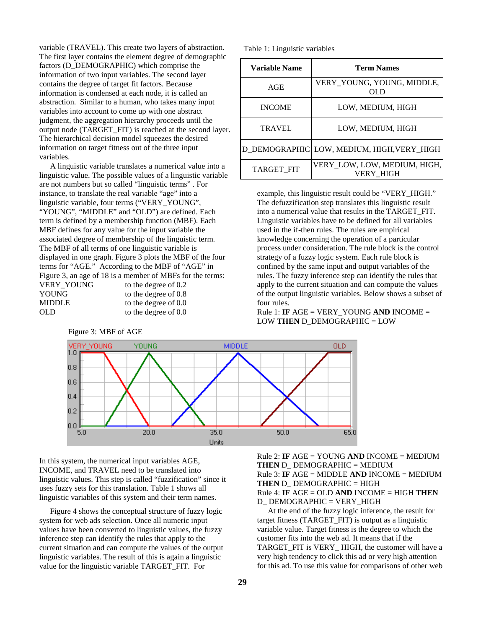variable (TRAVEL). This create two layers of abstraction. The first layer contains the element degree of demographic factors (D\_DEMOGRAPHIC) which comprise the information of two input variables. The second layer contains the degree of target fit factors. Because information is condensed at each node, it is called an abstraction. Similar to a human, who takes many input variables into account to come up with one abstract judgment, the aggregation hierarchy proceeds until the output node (TARGET\_FIT) is reached at the second layer. The hierarchical decision model squeezes the desired information on target fitness out of the three input variables.

A linguistic variable translates a numerical value into a linguistic value. The possible values of a linguistic variable are not numbers but so called "linguistic terms" . For instance, to translate the real variable "age" into a linguistic variable, four terms ("VERY\_YOUNG", "YOUNG", "MIDDLE" and "OLD") are defined. Each term is defined by a membership function (MBF). Each MBF defines for any value for the input variable the associated degree of membership of the linguistic term. The MBF of all terms of one linguistic variable is displayed in one graph. Figure 3 plots the MBF of the four terms for "AGE." According to the MBF of "AGE" in Figure 3, an age of 18 is a member of MBFs for the terms: VERY\_YOUNG to the degree of 0.2<br>YOUNG to the degree of 0.8 to the degree of  $0.8$ MIDDLE to the degree of 0.0 OLD to the degree of 0.0

Table 1: Linguistic variables

| Variable Name | <b>Term Names</b>                                |
|---------------|--------------------------------------------------|
| AGE           | VERY YOUNG, YOUNG, MIDDLE,<br>OL D               |
| <b>INCOME</b> | LOW, MEDIUM, HIGH                                |
| TRAVEL        | LOW, MEDIUM, HIGH                                |
|               | D DEMOGRAPHIC LOW, MEDIUM, HIGH, VERY_HIGH       |
| TARGET_FIT    | VERY LOW, LOW, MEDIUM, HIGH,<br><b>VERY HIGH</b> |

example, this linguistic result could be "VERY\_HIGH." The defuzzification step translates this linguistic result into a numerical value that results in the TARGET\_FIT. Linguistic variables have to be defined for all variables used in the if-then rules. The rules are empirical knowledge concerning the operation of a particular process under consideration. The rule block is the control strategy of a fuzzy logic system. Each rule block is confined by the same input and output variables of the rules. The fuzzy inference step can identify the rules that apply to the current situation and can compute the values of the output linguistic variables. Below shows a subset of four rules.

Rule 1: **IF** AGE = VERY\_YOUNG **AND** INCOME = LOW **THEN** D\_DEMOGRAPHIC = LOW



In this system, the numerical input variables AGE, INCOME, and TRAVEL need to be translated into linguistic values. This step is called "fuzzification" since it uses fuzzy sets for this translation. Table 1 shows all linguistic variables of this system and their term names.

Figure 4 shows the conceptual structure of fuzzy logic system for web ads selection. Once all numeric input values have been converted to linguistic values, the fuzzy inference step can identify the rules that apply to the current situation and can compute the values of the output linguistic variables. The result of this is again a linguistic value for the linguistic variable TARGET\_FIT. For

Rule 2: **IF** AGE = YOUNG **AND** INCOME = MEDIUM **THEN** D\_ DEMOGRAPHIC = MEDIUM Rule 3: **IF** AGE = MIDDLE **AND** INCOME = MEDIUM **THEN** D\_ DEMOGRAPHIC = HIGH Rule 4: **IF** AGE = OLD **AND** INCOME = HIGH **THEN** D\_DEMOGRAPHIC = VERY\_HIGH

At the end of the fuzzy logic inference, the result for target fitness (TARGET\_FIT) is output as a linguistic variable value. Target fitness is the degree to which the customer fits into the web ad. It means that if the TARGET\_FIT is VERY\_ HIGH, the customer will have a very high tendency to click this ad or very high attention for this ad. To use this value for comparisons of other web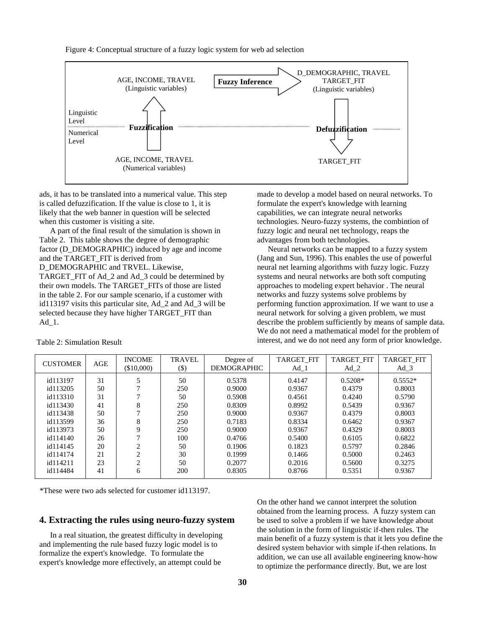Figure 4: Conceptual structure of a fuzzy logic system for web ad selection



ads, it has to be translated into a numerical value. This step is called defuzzification. If the value is close to 1, it is likely that the web banner in question will be selected when this customer is visiting a site.

A part of the final result of the simulation is shown in Table 2. This table shows the degree of demographic factor (D\_DEMOGRAPHIC) induced by age and income and the TARGET\_FIT is derived from D\_DEMOGRAPHIC and TRVEL. Likewise,

TARGET\_FIT of Ad\_2 and Ad\_3 could be determined by their own models. The TARGET\_FITs of those are listed in the table 2. For our sample scenario, if a customer with id113197 visits this particular site, Ad\_2 and Ad\_3 will be selected because they have higher TARGET\_FIT than Ad\_1.

made to develop a model based on neural networks. To formulate the expert's knowledge with learning capabilities, we can integrate neural networks technologies. Neuro-fuzzy systems, the combintion of fuzzy logic and neural net technology, reaps the advantages from both technologies.

Neural networks can be mapped to a fuzzy system (Jang and Sun, 1996). This enables the use of powerful neural net learning algorithms with fuzzy logic. Fuzzy systems and neural networks are both soft computing approaches to modeling expert behavior . The neural networks and fuzzy systems solve problems by performing function approximation. If we want to use a neural network for solving a given problem, we must describe the problem sufficiently by means of sample data. We do not need a mathematical model for the problem of interest, and we do not need any form of prior knowledge.

| <b>CUSTOMER</b> | AGE | <b>INCOME</b><br>(\$10,000) | <b>TRAVEL</b><br>$(\$)$ | Degree of<br><b>DEMOGRAPHIC</b> | <b>TARGET FIT</b><br>Ad 1 | <b>TARGET FIT</b><br>Ad <sub>2</sub> | <b>TARGET FIT</b><br>Ad <sub>3</sub> |
|-----------------|-----|-----------------------------|-------------------------|---------------------------------|---------------------------|--------------------------------------|--------------------------------------|
|                 |     |                             |                         |                                 |                           |                                      |                                      |
| id113197        | 31  |                             | 50                      | 0.5378                          | 0.4147                    | $0.5208*$                            | $0.5552*$                            |
| id113205        | 50  |                             | 250                     | 0.9000                          | 0.9367                    | 0.4379                               | 0.8003                               |
| id113310        | 31  |                             | 50                      | 0.5908                          | 0.4561                    | 0.4240                               | 0.5790                               |
| id113430        | 41  | 8                           | 250                     | 0.8309                          | 0.8992                    | 0.5439                               | 0.9367                               |
| id113438        | 50  |                             | 250                     | 0.9000                          | 0.9367                    | 0.4379                               | 0.8003                               |
| id113599        | 36  | 8                           | 250                     | 0.7183                          | 0.8334                    | 0.6462                               | 0.9367                               |
| id113973        | 50  | 9                           | 250                     | 0.9000                          | 0.9367                    | 0.4329                               | 0.8003                               |
| id114140        | 26  |                             | 100                     | 0.4766                          | 0.5400                    | 0.6105                               | 0.6822                               |
| id114145        | 20  |                             | 50                      | 0.1906                          | 0.1823                    | 0.5797                               | 0.2846                               |
| id114174        | 21  |                             | 30                      | 0.1999                          | 0.1466                    | 0.5000                               | 0.2463                               |
| id114211        | 23  | ◠                           | 50                      | 0.2077                          | 0.2016                    | 0.5600                               | 0.3275                               |
| id114484        | 41  | 6                           | 200                     | 0.8305                          | 0.8766                    | 0.5351                               | 0.9367                               |

Table 2: Simulation Result

\*These were two ads selected for customer id113197.

#### **4. Extracting the rules using neuro-fuzzy system**

In a real situation, the greatest difficulty in developing and implementing the rule based fuzzy logic model is to formalize the expert's knowledge. To formulate the expert's knowledge more effectively, an attempt could be

On the other hand we cannot interpret the solution obtained from the learning process. A fuzzy system can be used to solve a problem if we have knowledge about the solution in the form of linguistic if-then rules. The main benefit of a fuzzy system is that it lets you define the desired system behavior with simple if-then relations. In addition, we can use all available engineering know-how to optimize the performance directly. But, we are lost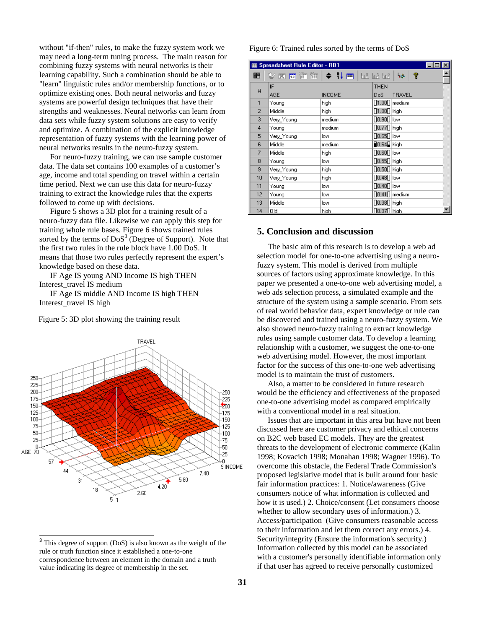without "if-then" rules, to make the fuzzy system work we may need a long-term tuning process. The main reason for combining fuzzy systems with neural networks is their learning capability. Such a combination should be able to "learn" linguistic rules and/or membership functions, or to optimize existing ones. Both neural networks and fuzzy systems are powerful design techniques that have their strengths and weaknesses. Neural networks can learn from data sets while fuzzy system solutions are easy to verify and optimize. A combination of the explicit knowledge representation of fuzzy systems with the learning power of neural networks results in the neuro-fuzzy system.

For neuro-fuzzy training, we can use sample customer data. The data set contains 100 examples of a customer's age, income and total spending on travel within a certain time period. Next we can use this data for neuro-fuzzy training to extract the knowledge rules that the experts followed to come up with decisions.

Figure 5 shows a 3D plot for a training result of a neuro-fuzzy data file. Likewise we can apply this step for training whole rule bases. Figure 6 shows trained rules sorted by the terms of  $DoS<sup>3</sup>$  (Degree of Support). Note that the first two rules in the rule block have 1.00 DoS. It means that those two rules perfectly represent the expert's knowledge based on these data.

IF Age IS young AND Income IS high THEN Interest\_travel IS medium

IF Age IS middle AND Income IS high THEN Interest\_travel IS high

Figure 5: 3D plot showing the training result



<sup>&</sup>lt;sup>3</sup> This degree of support (DoS) is also known as the weight of the rule or truth function since it established a one-to-one correspondence between an element in the domain and a truth value indicating its degree of membership in the set.

#### Figure 6: Trained rules sorted by the terms of DoS

| <b>图 Spreadsheet Rule Editor - RB1</b><br>$\times$ |                      |               |                                                                                                                                                                          |  |  |  |
|----------------------------------------------------|----------------------|---------------|--------------------------------------------------------------------------------------------------------------------------------------------------------------------------|--|--|--|
| ■■                                                 | <b>₩⋈해▓▓▏◆ ;↓⊞</b> │ |               | P<br>الثامة<br>$\begin{array}{ccc} \left\Vert \mathbf{g} \right\Vert^{2} & \left\Vert \mathbf{g} \right\Vert^{2} & \left\Vert \mathbf{g} \right\Vert^{2} \\ \end{array}$ |  |  |  |
| #                                                  | IF                   |               | <b>THEN</b>                                                                                                                                                              |  |  |  |
|                                                    | AGE                  | <b>INCOME</b> | DoS.<br>TRAVEL                                                                                                                                                           |  |  |  |
| 1                                                  | Young                | high          | $\lceil 1.00 \rceil$ medium                                                                                                                                              |  |  |  |
| $\overline{2}$                                     | Middle               | high          | $\left[\left 1.00\right \right]$ high                                                                                                                                    |  |  |  |
| 3                                                  | Very Young           | medium        | $\bigcap$ 0.90 $\bigcap$ low                                                                                                                                             |  |  |  |
| $\overline{4}$                                     | Young                | medium        | $\left[\left.0.77\right[\right]$ high                                                                                                                                    |  |  |  |
| 5                                                  | Very Young           | low           | $\bigcap$ 0.65 $\bigcap$ low                                                                                                                                             |  |  |  |
| 6                                                  | Middle               | medium        | $\blacksquare$ 0.64 $\blacksquare$   high                                                                                                                                |  |  |  |
| 7                                                  | Middle               | high          | $\left \left 0.60\right \right $ low                                                                                                                                     |  |  |  |
| 8                                                  | Young                | low           | $\lceil 0.55 \rceil \rceil$ high                                                                                                                                         |  |  |  |
| 9                                                  | Very_Young           | high          | $\lceil 0.50 \rceil \rceil$ high                                                                                                                                         |  |  |  |
| 10                                                 | Very_Young           | high          | $\left[\left[0.48\right]\right]$ low                                                                                                                                     |  |  |  |
| 11                                                 | Young                | low           | $\left \left 0.48\right \right $ low                                                                                                                                     |  |  |  |
| 12                                                 | Young                | low           | $\left\lceil \left\lceil 0.41 \right\rceil \right\rceil$ medium                                                                                                          |  |  |  |
| 13                                                 | Middle               | low           | $\left[\right]$ 0.38 $\left[\right]$ high                                                                                                                                |  |  |  |
| 14                                                 | Old                  | hiah          | $\sqrt{0.37}$ l $\sqrt{1.00}$ high                                                                                                                                       |  |  |  |

### **5. Conclusion and discussion**

The basic aim of this research is to develop a web ad selection model for one-to-one advertising using a neurofuzzy system. This model is derived from multiple sources of factors using approximate knowledge. In this paper we presented a one-to-one web advertising model, a web ads selection process, a simulated example and the structure of the system using a sample scenario. From sets of real world behavior data, expert knowledge or rule can be discovered and trained using a neuro-fuzzy system. We also showed neuro-fuzzy training to extract knowledge rules using sample customer data. To develop a learning relationship with a customer, we suggest the one-to-one web advertising model. However, the most important factor for the success of this one-to-one web advertising model is to maintain the trust of customers.

Also, a matter to be considered in future research would be the efficiency and effectiveness of the proposed one-to-one advertising model as compared empirically with a conventional model in a real situation.

Issues that are important in this area but have not been discussed here are customer privacy and ethical concerns on B2C web based EC models. They are the greatest threats to the development of electronic commerce (Kalin 1998; Kovacich 1998; Monahan 1998; Wagner 1996). To overcome this obstacle, the Federal Trade Commission's proposed legislative model that is built around four basic fair information practices: 1. Notice/awareness (Give consumers notice of what information is collected and how it is used.) 2. Choice/consent (Let consumers choose whether to allow secondary uses of information.) 3. Access/participation (Give consumers reasonable access to their information and let them correct any errors.) 4. Security/integrity (Ensure the information's security.) Information collected by this model can be associated with a customer's personally identifiable information only if that user has agreed to receive personally customized